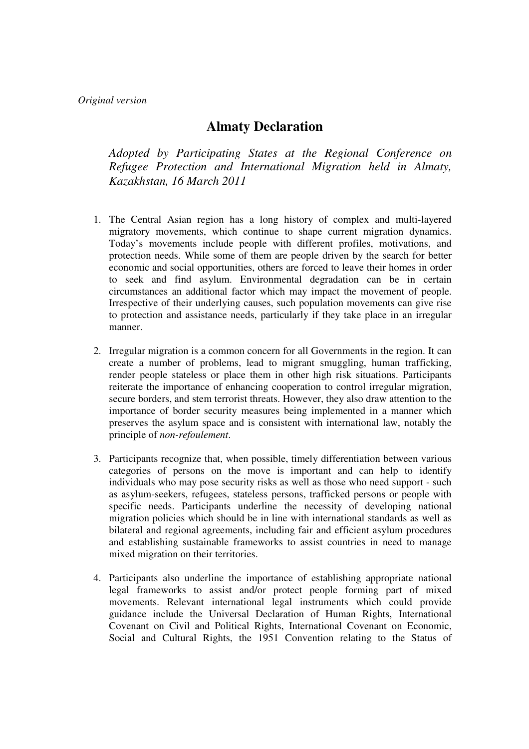## **Almaty Declaration**

*Adopted by Participating States at the Regional Conference on Refugee Protection and International Migration held in Almaty, Kazakhstan, 16 March 2011* 

- 1. The Central Asian region has a long history of complex and multi-layered migratory movements, which continue to shape current migration dynamics. Today's movements include people with different profiles, motivations, and protection needs. While some of them are people driven by the search for better economic and social opportunities, others are forced to leave their homes in order to seek and find asylum. Environmental degradation can be in certain circumstances an additional factor which may impact the movement of people. Irrespective of their underlying causes, such population movements can give rise to protection and assistance needs, particularly if they take place in an irregular manner.
- 2. Irregular migration is a common concern for all Governments in the region. It can create a number of problems, lead to migrant smuggling, human trafficking, render people stateless or place them in other high risk situations. Participants reiterate the importance of enhancing cooperation to control irregular migration, secure borders, and stem terrorist threats. However, they also draw attention to the importance of border security measures being implemented in a manner which preserves the asylum space and is consistent with international law, notably the principle of *non-refoulement*.
- 3. Participants recognize that, when possible, timely differentiation between various categories of persons on the move is important and can help to identify individuals who may pose security risks as well as those who need support - such as asylum-seekers, refugees, stateless persons, trafficked persons or people with specific needs. Participants underline the necessity of developing national migration policies which should be in line with international standards as well as bilateral and regional agreements, including fair and efficient asylum procedures and establishing sustainable frameworks to assist countries in need to manage mixed migration on their territories.
- 4. Participants also underline the importance of establishing appropriate national legal frameworks to assist and/or protect people forming part of mixed movements. Relevant international legal instruments which could provide guidance include the Universal Declaration of Human Rights, International Covenant on Civil and Political Rights, International Covenant on Economic, Social and Cultural Rights, the 1951 Convention relating to the Status of